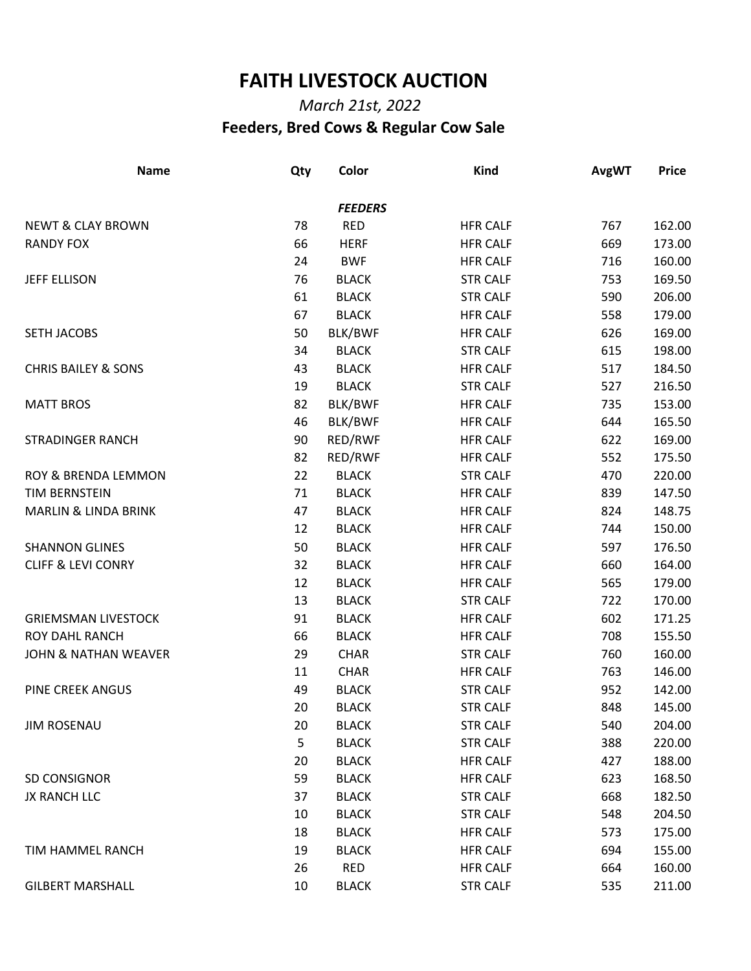## **FAITH LIVESTOCK AUCTION**

## *March 21st, 2022*  **Feeders, Bred Cows & Regular Cow Sale**

| <b>Name</b>                     | Qty | Color          | <b>Kind</b>     | <b>AvgWT</b> | <b>Price</b> |
|---------------------------------|-----|----------------|-----------------|--------------|--------------|
|                                 |     | <b>FEEDERS</b> |                 |              |              |
| <b>NEWT &amp; CLAY BROWN</b>    | 78  | <b>RED</b>     | <b>HFR CALF</b> | 767          | 162.00       |
| <b>RANDY FOX</b>                | 66  | <b>HERF</b>    | <b>HFR CALF</b> | 669          | 173.00       |
|                                 | 24  | <b>BWF</b>     | <b>HFR CALF</b> | 716          | 160.00       |
| <b>JEFF ELLISON</b>             | 76  | <b>BLACK</b>   | <b>STR CALF</b> | 753          | 169.50       |
|                                 | 61  | <b>BLACK</b>   | <b>STR CALF</b> | 590          | 206.00       |
|                                 | 67  | <b>BLACK</b>   | <b>HFR CALF</b> | 558          | 179.00       |
| SETH JACOBS                     | 50  | BLK/BWF        | <b>HFR CALF</b> | 626          | 169.00       |
|                                 | 34  | <b>BLACK</b>   | <b>STR CALF</b> | 615          | 198.00       |
| <b>CHRIS BAILEY &amp; SONS</b>  | 43  | <b>BLACK</b>   | <b>HFR CALF</b> | 517          | 184.50       |
|                                 | 19  | <b>BLACK</b>   | <b>STR CALF</b> | 527          | 216.50       |
| <b>MATT BROS</b>                | 82  | BLK/BWF        | <b>HFR CALF</b> | 735          | 153.00       |
|                                 | 46  | BLK/BWF        | <b>HFR CALF</b> | 644          | 165.50       |
| <b>STRADINGER RANCH</b>         | 90  | RED/RWF        | <b>HFR CALF</b> | 622          | 169.00       |
|                                 | 82  | RED/RWF        | <b>HFR CALF</b> | 552          | 175.50       |
| ROY & BRENDA LEMMON             | 22  | <b>BLACK</b>   | <b>STR CALF</b> | 470          | 220.00       |
| TIM BERNSTEIN                   | 71  | <b>BLACK</b>   | <b>HFR CALF</b> | 839          | 147.50       |
| <b>MARLIN &amp; LINDA BRINK</b> | 47  | <b>BLACK</b>   | <b>HFR CALF</b> | 824          | 148.75       |
|                                 | 12  | <b>BLACK</b>   | <b>HFR CALF</b> | 744          | 150.00       |
| <b>SHANNON GLINES</b>           | 50  | <b>BLACK</b>   | <b>HFR CALF</b> | 597          | 176.50       |
| <b>CLIFF &amp; LEVI CONRY</b>   | 32  | <b>BLACK</b>   | <b>HFR CALF</b> | 660          | 164.00       |
|                                 | 12  | <b>BLACK</b>   | <b>HFR CALF</b> | 565          | 179.00       |
|                                 | 13  | <b>BLACK</b>   | <b>STR CALF</b> | 722          | 170.00       |
| <b>GRIEMSMAN LIVESTOCK</b>      | 91  | <b>BLACK</b>   | <b>HFR CALF</b> | 602          | 171.25       |
| <b>ROY DAHL RANCH</b>           | 66  | <b>BLACK</b>   | <b>HFR CALF</b> | 708          | 155.50       |
| <b>JOHN &amp; NATHAN WEAVER</b> | 29  | <b>CHAR</b>    | <b>STR CALF</b> | 760          | 160.00       |
|                                 | 11  | <b>CHAR</b>    | <b>HFR CALF</b> | 763          | 146.00       |
| <b>PINE CREEK ANGUS</b>         | 49  | <b>BLACK</b>   | <b>STR CALF</b> | 952          | 142.00       |
|                                 | 20  | <b>BLACK</b>   | <b>STR CALF</b> | 848          | 145.00       |
| <b>JIM ROSENAU</b>              | 20  | <b>BLACK</b>   | <b>STR CALF</b> | 540          | 204.00       |
|                                 | 5   | <b>BLACK</b>   | <b>STR CALF</b> | 388          | 220.00       |
|                                 | 20  | <b>BLACK</b>   | <b>HFR CALF</b> | 427          | 188.00       |
| SD CONSIGNOR                    | 59  | <b>BLACK</b>   | <b>HFR CALF</b> | 623          | 168.50       |
| JX RANCH LLC                    | 37  | <b>BLACK</b>   | <b>STR CALF</b> | 668          | 182.50       |
|                                 | 10  | <b>BLACK</b>   | <b>STR CALF</b> | 548          | 204.50       |
|                                 | 18  | <b>BLACK</b>   | <b>HFR CALF</b> | 573          | 175.00       |
| TIM HAMMEL RANCH                | 19  | <b>BLACK</b>   | <b>HFR CALF</b> | 694          | 155.00       |
|                                 | 26  | <b>RED</b>     | <b>HFR CALF</b> | 664          | 160.00       |
| <b>GILBERT MARSHALL</b>         | 10  | <b>BLACK</b>   | <b>STR CALF</b> | 535          | 211.00       |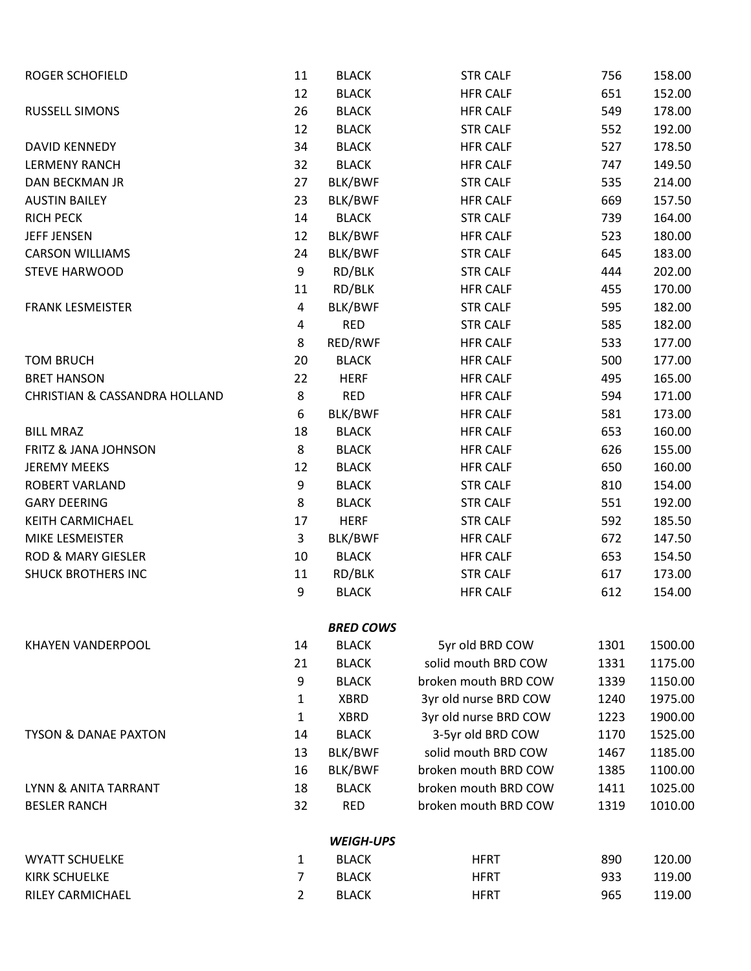| <b>ROGER SCHOFIELD</b>          | 11             | <b>BLACK</b>     | <b>STR CALF</b>       | 756  | 158.00  |
|---------------------------------|----------------|------------------|-----------------------|------|---------|
|                                 | 12             | <b>BLACK</b>     | <b>HFR CALF</b>       | 651  | 152.00  |
| <b>RUSSELL SIMONS</b>           | 26             | <b>BLACK</b>     | <b>HFR CALF</b>       | 549  | 178.00  |
|                                 | 12             | <b>BLACK</b>     | <b>STR CALF</b>       | 552  | 192.00  |
| DAVID KENNEDY                   | 34             | <b>BLACK</b>     | <b>HFR CALF</b>       | 527  | 178.50  |
| <b>LERMENY RANCH</b>            | 32             | <b>BLACK</b>     | <b>HFR CALF</b>       | 747  | 149.50  |
| DAN BECKMAN JR                  | 27             | BLK/BWF          | <b>STR CALF</b>       | 535  | 214.00  |
| <b>AUSTIN BAILEY</b>            | 23             | BLK/BWF          | <b>HFR CALF</b>       | 669  | 157.50  |
| <b>RICH PECK</b>                | 14             | <b>BLACK</b>     | <b>STR CALF</b>       | 739  | 164.00  |
| <b>JEFF JENSEN</b>              | 12             | BLK/BWF          | <b>HFR CALF</b>       | 523  | 180.00  |
| <b>CARSON WILLIAMS</b>          | 24             | BLK/BWF          | <b>STR CALF</b>       | 645  | 183.00  |
| <b>STEVE HARWOOD</b>            | 9              | RD/BLK           | <b>STR CALF</b>       | 444  | 202.00  |
|                                 | 11             | RD/BLK           | <b>HFR CALF</b>       | 455  | 170.00  |
| <b>FRANK LESMEISTER</b>         | 4              | BLK/BWF          | <b>STR CALF</b>       | 595  | 182.00  |
|                                 | 4              | <b>RED</b>       | <b>STR CALF</b>       | 585  | 182.00  |
|                                 | 8              | RED/RWF          | <b>HFR CALF</b>       | 533  | 177.00  |
| <b>TOM BRUCH</b>                | 20             | <b>BLACK</b>     | <b>HFR CALF</b>       | 500  | 177.00  |
| <b>BRET HANSON</b>              | 22             | <b>HERF</b>      | <b>HFR CALF</b>       | 495  | 165.00  |
| CHRISTIAN & CASSANDRA HOLLAND   | 8              | <b>RED</b>       | <b>HFR CALF</b>       | 594  | 171.00  |
|                                 | 6              | BLK/BWF          | <b>HFR CALF</b>       | 581  | 173.00  |
| <b>BILL MRAZ</b>                | 18             | <b>BLACK</b>     | <b>HFR CALF</b>       | 653  | 160.00  |
| <b>FRITZ &amp; JANA JOHNSON</b> | 8              | <b>BLACK</b>     | <b>HFR CALF</b>       | 626  | 155.00  |
| <b>JEREMY MEEKS</b>             | 12             | <b>BLACK</b>     | <b>HFR CALF</b>       | 650  | 160.00  |
| <b>ROBERT VARLAND</b>           | 9              | <b>BLACK</b>     | <b>STR CALF</b>       | 810  | 154.00  |
| <b>GARY DEERING</b>             | 8              | <b>BLACK</b>     | <b>STR CALF</b>       | 551  | 192.00  |
| KEITH CARMICHAEL                | 17             | <b>HERF</b>      | <b>STR CALF</b>       | 592  | 185.50  |
| MIKE LESMEISTER                 | 3              | BLK/BWF          | <b>HFR CALF</b>       | 672  | 147.50  |
| <b>ROD &amp; MARY GIESLER</b>   | 10             | <b>BLACK</b>     | <b>HFR CALF</b>       | 653  | 154.50  |
| <b>SHUCK BROTHERS INC</b>       | 11             | RD/BLK           | <b>STR CALF</b>       | 617  | 173.00  |
|                                 | 9              | <b>BLACK</b>     | <b>HFR CALF</b>       | 612  | 154.00  |
|                                 |                | <b>BRED COWS</b> |                       |      |         |
| <b>KHAYEN VANDERPOOL</b>        | 14             | <b>BLACK</b>     | 5yr old BRD COW       | 1301 | 1500.00 |
|                                 | 21             | <b>BLACK</b>     | solid mouth BRD COW   | 1331 | 1175.00 |
|                                 | 9              | <b>BLACK</b>     | broken mouth BRD COW  | 1339 | 1150.00 |
|                                 | 1              | <b>XBRD</b>      | 3yr old nurse BRD COW | 1240 | 1975.00 |
|                                 | $\mathbf{1}$   | <b>XBRD</b>      | 3yr old nurse BRD COW | 1223 | 1900.00 |
| <b>TYSON &amp; DANAE PAXTON</b> | 14             | <b>BLACK</b>     | 3-5yr old BRD COW     | 1170 | 1525.00 |
|                                 | 13             | BLK/BWF          | solid mouth BRD COW   | 1467 | 1185.00 |
|                                 | 16             | BLK/BWF          | broken mouth BRD COW  | 1385 | 1100.00 |
| LYNN & ANITA TARRANT            | 18             | <b>BLACK</b>     | broken mouth BRD COW  | 1411 | 1025.00 |
| <b>BESLER RANCH</b>             | 32             | <b>RED</b>       | broken mouth BRD COW  | 1319 | 1010.00 |
|                                 |                | <b>WEIGH-UPS</b> |                       |      |         |
| <b>WYATT SCHUELKE</b>           | $\mathbf{1}$   | <b>BLACK</b>     | <b>HFRT</b>           | 890  | 120.00  |
| <b>KIRK SCHUELKE</b>            | 7              | <b>BLACK</b>     | <b>HFRT</b>           | 933  | 119.00  |
| RILEY CARMICHAEL                | $\overline{2}$ | <b>BLACK</b>     | <b>HFRT</b>           | 965  | 119.00  |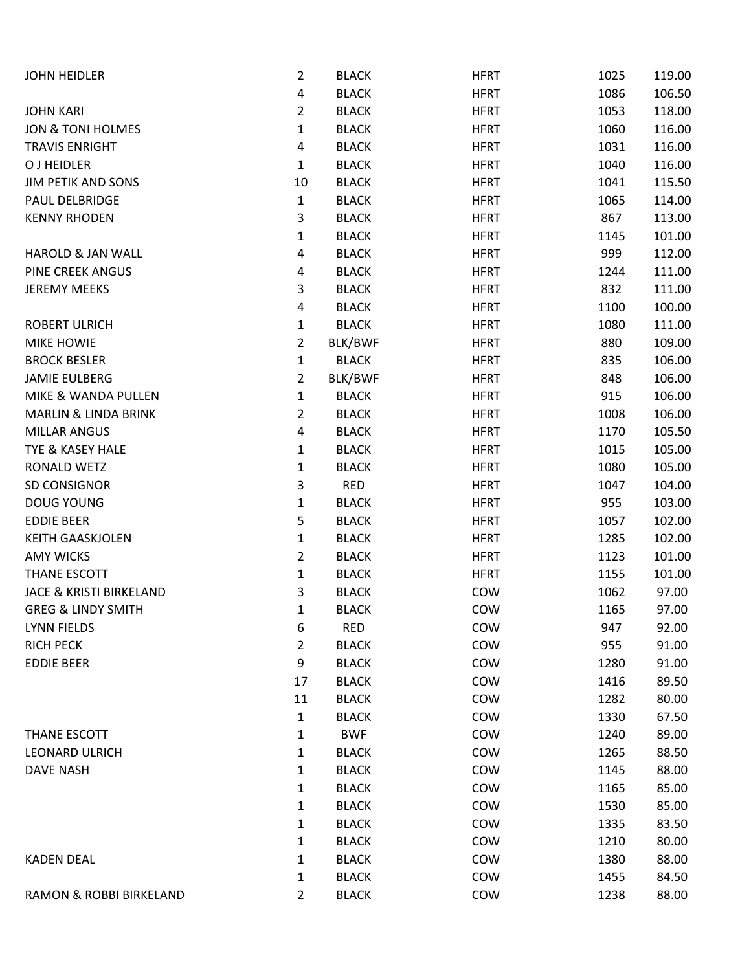| <b>JOHN HEIDLER</b>                | 2              | <b>BLACK</b> | <b>HFRT</b> | 1025 | 119.00 |
|------------------------------------|----------------|--------------|-------------|------|--------|
|                                    | 4              | <b>BLACK</b> | <b>HFRT</b> | 1086 | 106.50 |
| <b>JOHN KARI</b>                   | $\overline{2}$ | <b>BLACK</b> | <b>HFRT</b> | 1053 | 118.00 |
| <b>JON &amp; TONI HOLMES</b>       | 1              | <b>BLACK</b> | <b>HFRT</b> | 1060 | 116.00 |
| <b>TRAVIS ENRIGHT</b>              | 4              | <b>BLACK</b> | <b>HFRT</b> | 1031 | 116.00 |
| O J HEIDLER                        | $\mathbf{1}$   | <b>BLACK</b> | <b>HFRT</b> | 1040 | 116.00 |
| <b>JIM PETIK AND SONS</b>          | 10             | <b>BLACK</b> | <b>HFRT</b> | 1041 | 115.50 |
| PAUL DELBRIDGE                     | $\mathbf{1}$   | <b>BLACK</b> | <b>HFRT</b> | 1065 | 114.00 |
| <b>KENNY RHODEN</b>                | 3              | <b>BLACK</b> | <b>HFRT</b> | 867  | 113.00 |
|                                    | 1              | <b>BLACK</b> | <b>HFRT</b> | 1145 | 101.00 |
| <b>HAROLD &amp; JAN WALL</b>       | 4              | <b>BLACK</b> | <b>HFRT</b> | 999  | 112.00 |
| PINE CREEK ANGUS                   | 4              | <b>BLACK</b> | <b>HFRT</b> | 1244 | 111.00 |
| <b>JEREMY MEEKS</b>                | 3              | <b>BLACK</b> | <b>HFRT</b> | 832  | 111.00 |
|                                    | 4              | <b>BLACK</b> | <b>HFRT</b> | 1100 | 100.00 |
| <b>ROBERT ULRICH</b>               | 1              | <b>BLACK</b> | <b>HFRT</b> | 1080 | 111.00 |
| <b>MIKE HOWIE</b>                  | $\overline{2}$ | BLK/BWF      | <b>HFRT</b> | 880  | 109.00 |
| <b>BROCK BESLER</b>                | $\mathbf{1}$   | <b>BLACK</b> | <b>HFRT</b> | 835  | 106.00 |
| <b>JAMIE EULBERG</b>               | $\overline{2}$ | BLK/BWF      | <b>HFRT</b> | 848  | 106.00 |
| MIKE & WANDA PULLEN                | $\mathbf{1}$   | <b>BLACK</b> | <b>HFRT</b> | 915  | 106.00 |
| <b>MARLIN &amp; LINDA BRINK</b>    | $\overline{2}$ | <b>BLACK</b> | <b>HFRT</b> | 1008 | 106.00 |
| MILLAR ANGUS                       | 4              | <b>BLACK</b> | <b>HFRT</b> | 1170 | 105.50 |
| TYE & KASEY HALE                   | $\mathbf{1}$   | <b>BLACK</b> | <b>HFRT</b> | 1015 | 105.00 |
| RONALD WETZ                        | 1              | <b>BLACK</b> | <b>HFRT</b> | 1080 | 105.00 |
| SD CONSIGNOR                       | 3              | <b>RED</b>   | <b>HFRT</b> | 1047 | 104.00 |
| <b>DOUG YOUNG</b>                  | $\mathbf{1}$   | <b>BLACK</b> | <b>HFRT</b> | 955  | 103.00 |
| <b>EDDIE BEER</b>                  | 5              | <b>BLACK</b> | <b>HFRT</b> | 1057 | 102.00 |
| <b>KEITH GAASKJOLEN</b>            | $\mathbf{1}$   | <b>BLACK</b> | <b>HFRT</b> | 1285 | 102.00 |
| <b>AMY WICKS</b>                   | 2              | <b>BLACK</b> | <b>HFRT</b> | 1123 | 101.00 |
| THANE ESCOTT                       | 1              | <b>BLACK</b> | <b>HFRT</b> | 1155 | 101.00 |
| <b>JACE &amp; KRISTI BIRKELAND</b> | 3              | <b>BLACK</b> | COW         | 1062 | 97.00  |
| <b>GREG &amp; LINDY SMITH</b>      | 1              | <b>BLACK</b> | COW         | 1165 | 97.00  |
| <b>LYNN FIELDS</b>                 | 6              | RED          | COW         | 947  | 92.00  |
| <b>RICH PECK</b>                   | $\overline{2}$ | <b>BLACK</b> | COW         | 955  | 91.00  |
| <b>EDDIE BEER</b>                  | 9              | <b>BLACK</b> | COW         | 1280 | 91.00  |
|                                    | 17             | <b>BLACK</b> | COW         | 1416 | 89.50  |
|                                    | 11             | <b>BLACK</b> | COW         | 1282 | 80.00  |
|                                    | $\mathbf{1}$   | <b>BLACK</b> | COW         | 1330 | 67.50  |
| THANE ESCOTT                       | 1              | <b>BWF</b>   | COW         | 1240 | 89.00  |
| <b>LEONARD ULRICH</b>              | $\mathbf{1}$   | <b>BLACK</b> | COW         | 1265 | 88.50  |
| DAVE NASH                          | $\mathbf{1}$   | <b>BLACK</b> | COW         | 1145 | 88.00  |
|                                    | 1              | <b>BLACK</b> | COW         | 1165 | 85.00  |
|                                    | $\mathbf{1}$   | <b>BLACK</b> | COW         | 1530 | 85.00  |
|                                    | $\mathbf{1}$   | <b>BLACK</b> | COW         | 1335 | 83.50  |
|                                    | $\mathbf{1}$   | <b>BLACK</b> | COW         | 1210 | 80.00  |
| <b>KADEN DEAL</b>                  | 1              | <b>BLACK</b> | COW         | 1380 | 88.00  |
|                                    | 1              | <b>BLACK</b> | COW         | 1455 | 84.50  |
| RAMON & ROBBI BIRKELAND            | $\overline{2}$ | <b>BLACK</b> | COW         | 1238 | 88.00  |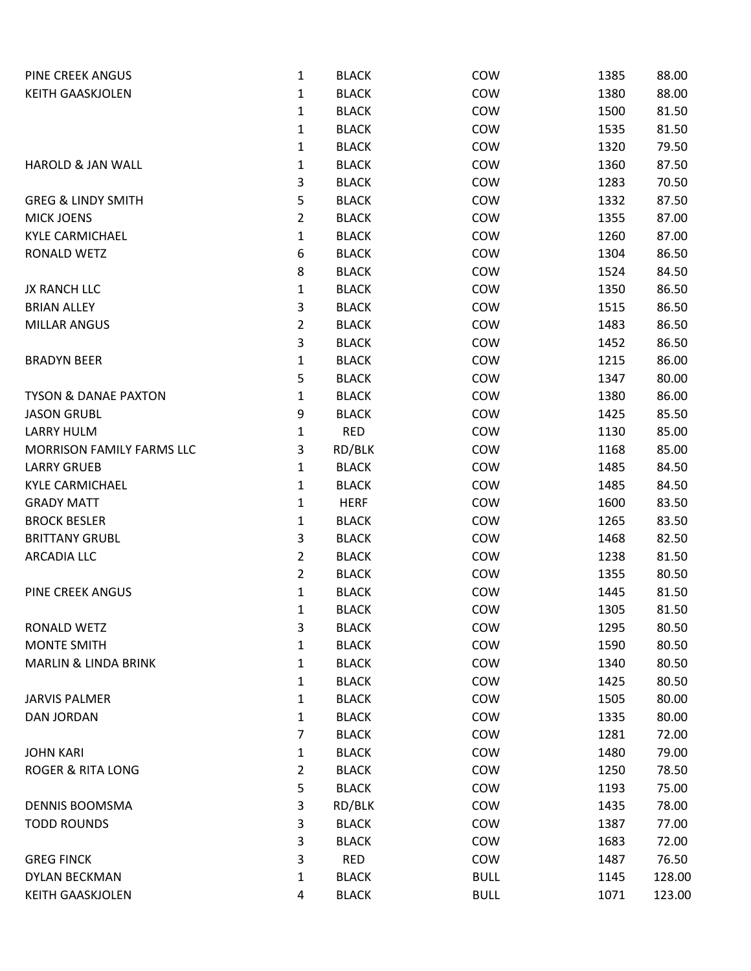| PINE CREEK ANGUS                | 1              | <b>BLACK</b> | COW         | 1385 | 88.00  |
|---------------------------------|----------------|--------------|-------------|------|--------|
| <b>KEITH GAASKJOLEN</b>         | 1              | <b>BLACK</b> | COW         | 1380 | 88.00  |
|                                 | 1              | <b>BLACK</b> | COW         | 1500 | 81.50  |
|                                 | 1              | <b>BLACK</b> | COW         | 1535 | 81.50  |
|                                 | 1              | <b>BLACK</b> | COW         | 1320 | 79.50  |
| <b>HAROLD &amp; JAN WALL</b>    | 1              | <b>BLACK</b> | COW         | 1360 | 87.50  |
|                                 | 3              | <b>BLACK</b> | COW         | 1283 | 70.50  |
| <b>GREG &amp; LINDY SMITH</b>   | 5              | <b>BLACK</b> | COW         | 1332 | 87.50  |
| <b>MICK JOENS</b>               | $\overline{2}$ | <b>BLACK</b> | COW         | 1355 | 87.00  |
| <b>KYLE CARMICHAEL</b>          | 1              | <b>BLACK</b> | COW         | 1260 | 87.00  |
| RONALD WETZ                     | 6              | <b>BLACK</b> | COW         | 1304 | 86.50  |
|                                 | 8              | <b>BLACK</b> | COW         | 1524 | 84.50  |
| JX RANCH LLC                    | 1              | <b>BLACK</b> | COW         | 1350 | 86.50  |
| <b>BRIAN ALLEY</b>              | 3              | <b>BLACK</b> | COW         | 1515 | 86.50  |
| <b>MILLAR ANGUS</b>             | 2              | <b>BLACK</b> | COW         | 1483 | 86.50  |
|                                 | 3              | <b>BLACK</b> | COW         | 1452 | 86.50  |
| <b>BRADYN BEER</b>              | 1              | <b>BLACK</b> | COW         | 1215 | 86.00  |
|                                 | 5              | <b>BLACK</b> | COW         | 1347 | 80.00  |
| <b>TYSON &amp; DANAE PAXTON</b> | 1              | <b>BLACK</b> | COW         | 1380 | 86.00  |
| <b>JASON GRUBL</b>              | 9              | <b>BLACK</b> | COW         | 1425 | 85.50  |
| <b>LARRY HULM</b>               | $\mathbf 1$    | <b>RED</b>   | COW         | 1130 | 85.00  |
| MORRISON FAMILY FARMS LLC       | 3              | RD/BLK       | COW         | 1168 | 85.00  |
| <b>LARRY GRUEB</b>              | 1              | <b>BLACK</b> | COW         | 1485 | 84.50  |
| <b>KYLE CARMICHAEL</b>          | 1              | <b>BLACK</b> | COW         | 1485 | 84.50  |
| <b>GRADY MATT</b>               | 1              | <b>HERF</b>  | COW         | 1600 | 83.50  |
| <b>BROCK BESLER</b>             | 1              | <b>BLACK</b> | COW         | 1265 | 83.50  |
| <b>BRITTANY GRUBL</b>           | 3              | <b>BLACK</b> | COW         | 1468 | 82.50  |
| <b>ARCADIA LLC</b>              | $\overline{2}$ | <b>BLACK</b> | COW         | 1238 | 81.50  |
|                                 | 2              | <b>BLACK</b> | COW         | 1355 | 80.50  |
| PINE CREEK ANGUS                | 1              | <b>BLACK</b> | COW         | 1445 | 81.50  |
|                                 | 1              | <b>BLACK</b> | COW         | 1305 | 81.50  |
| RONALD WETZ                     | 3              | <b>BLACK</b> | COW         | 1295 | 80.50  |
| <b>MONTE SMITH</b>              | 1              | <b>BLACK</b> | COW         | 1590 | 80.50  |
| <b>MARLIN &amp; LINDA BRINK</b> | 1              | <b>BLACK</b> | COW         | 1340 | 80.50  |
|                                 | 1              | <b>BLACK</b> | COW         | 1425 | 80.50  |
| <b>JARVIS PALMER</b>            | 1              | <b>BLACK</b> | COW         | 1505 | 80.00  |
| DAN JORDAN                      | 1              | <b>BLACK</b> | COW         | 1335 | 80.00  |
|                                 | $\overline{7}$ | <b>BLACK</b> | COW         | 1281 | 72.00  |
| <b>JOHN KARI</b>                | 1              | <b>BLACK</b> | COW         | 1480 | 79.00  |
| <b>ROGER &amp; RITA LONG</b>    | $\overline{2}$ | <b>BLACK</b> | COW         | 1250 | 78.50  |
|                                 | 5              | <b>BLACK</b> | COW         | 1193 | 75.00  |
| DENNIS BOOMSMA                  | 3              | RD/BLK       | COW         | 1435 | 78.00  |
| <b>TODD ROUNDS</b>              | 3              | <b>BLACK</b> | COW         | 1387 | 77.00  |
|                                 | 3              | <b>BLACK</b> | COW         | 1683 | 72.00  |
| <b>GREG FINCK</b>               | 3              | <b>RED</b>   | COW         | 1487 | 76.50  |
| DYLAN BECKMAN                   | 1              | <b>BLACK</b> | <b>BULL</b> | 1145 | 128.00 |
| <b>KEITH GAASKJOLEN</b>         | 4              | <b>BLACK</b> | <b>BULL</b> | 1071 | 123.00 |